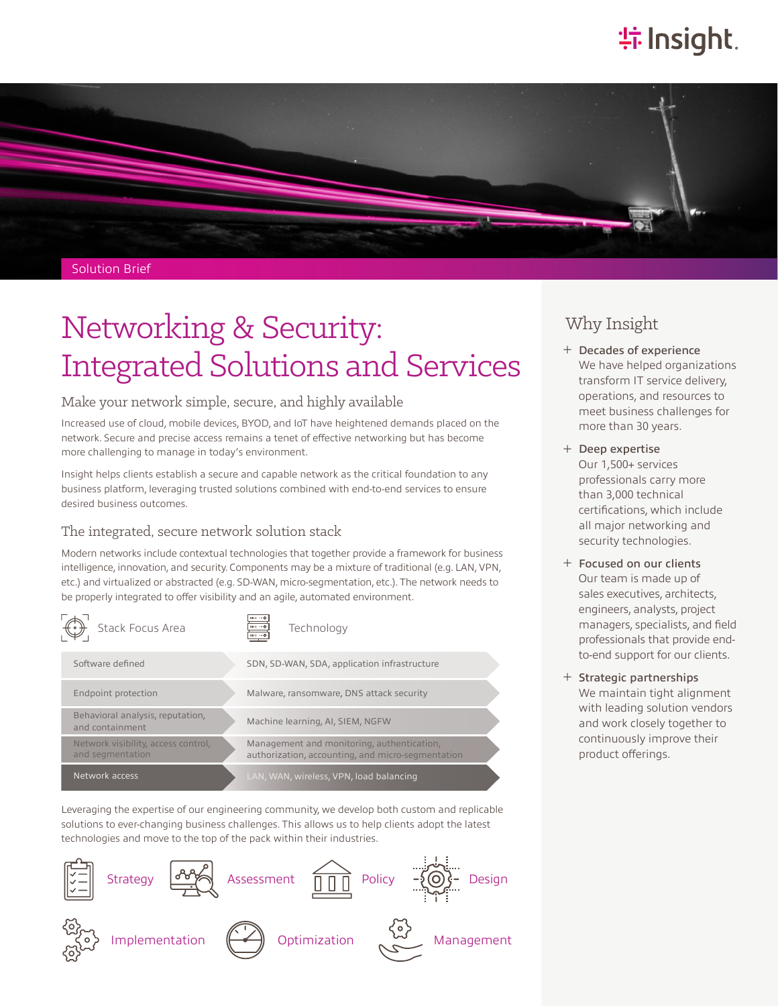# **特Insight**



#### Solution Brief

# Networking & Security: Integrated Solutions and Services

#### Make your network simple, secure, and highly available

Increased use of cloud, mobile devices, BYOD, and IoT have heightened demands placed on the network. Secure and precise access remains a tenet of effective networking but has become more challenging to manage in today's environment.

Insight helps clients establish a secure and capable network as the critical foundation to any business platform, leveraging trusted solutions combined with end-to-end services to ensure desired business outcomes.

#### The integrated, secure network solution stack

Modern networks include contextual technologies that together provide a framework for business intelligence, innovation, and security. Components may be a mixture of traditional (e.g. LAN, VPN, etc.) and virtualized or abstracted (e.g. SD-WAN, micro-segmentation, etc.). The network needs to be properly integrated to offer visibility and an agile, automated environment.



Leveraging the expertise of our engineering community, we develop both custom and replicable solutions to ever-changing business challenges. This allows us to help clients adopt the latest technologies and move to the top of the pack within their industries.



### Why Insight

- ͓ Decades of experience We have helped organizations transform IT service delivery, operations, and resources to meet business challenges for more than 30 years.
- ͓ Deep expertise Our 1,500+ services professionals carry more than 3,000 technical certifications, which include all major networking and security technologies.
- ͓ Focused on our clients Our team is made up of sales executives, architects, engineers, analysts, project managers, specialists, and field professionals that provide endto-end support for our clients.
- ͓ Strategic partnerships We maintain tight alignment with leading solution vendors and work closely together to continuously improve their product offerings.